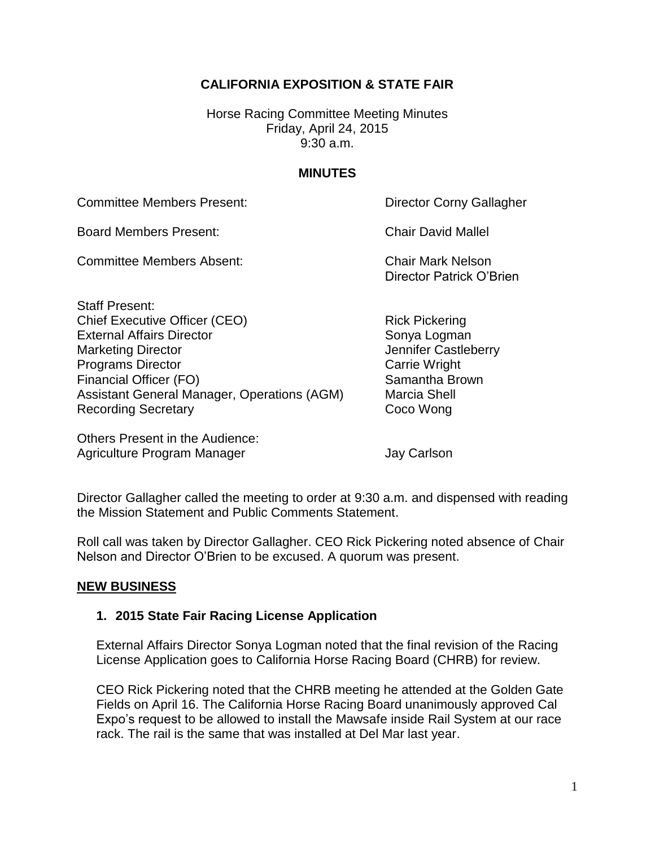# **CALIFORNIA EXPOSITION & STATE FAIR**

Horse Racing Committee Meeting Minutes Friday, April 24, 2015 9:30 a.m.

### **MINUTES**

Committee Members Present: Director Corny Gallagher

Board Members Present: Chair David Mallel

Committee Members Absent: Chair Mark Nelson

Staff Present: Chief Executive Officer (CEO) Rick Pickering External Affairs Director Sonya Logman Marketing Director **Marketing Director** And Tennifer Castleberry Programs Director **Carrie Wright** Carrie Wright Financial Officer (FO) Samantha Brown Assistant General Manager, Operations (AGM) Marcia Shell Recording Secretary **Coco Wong** 

Others Present in the Audience: Agriculture Program Manager **Jay Carlson** 

Director Patrick O'Brien

Director Gallagher called the meeting to order at 9:30 a.m. and dispensed with reading the Mission Statement and Public Comments Statement.

Roll call was taken by Director Gallagher. CEO Rick Pickering noted absence of Chair Nelson and Director O'Brien to be excused. A quorum was present.

#### **NEW BUSINESS**

## **1. 2015 State Fair Racing License Application**

External Affairs Director Sonya Logman noted that the final revision of the Racing License Application goes to California Horse Racing Board (CHRB) for review.

CEO Rick Pickering noted that the CHRB meeting he attended at the Golden Gate Fields on April 16. The California Horse Racing Board unanimously approved Cal Expo's request to be allowed to install the Mawsafe inside Rail System at our race rack. The rail is the same that was installed at Del Mar last year.